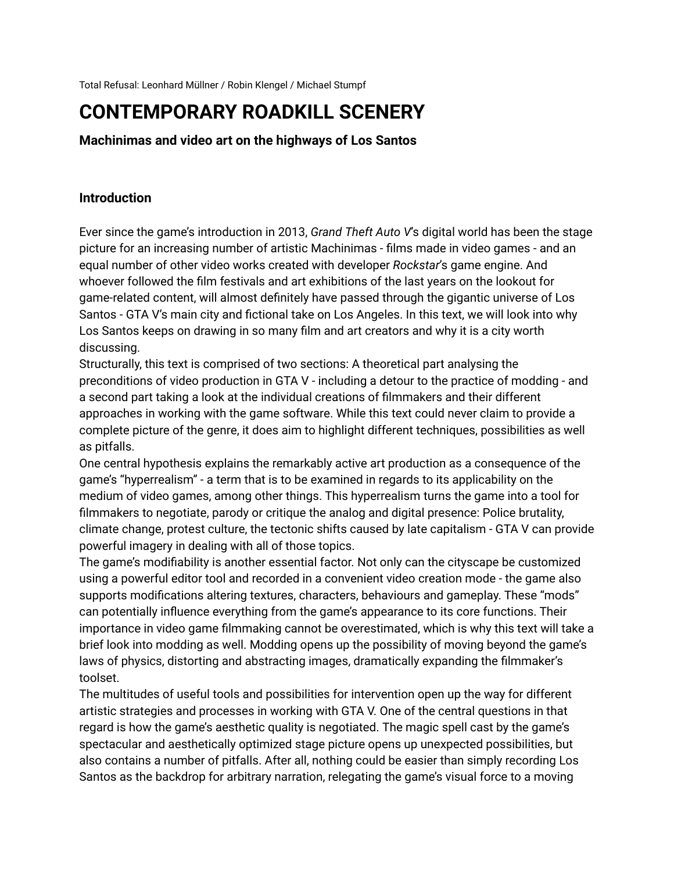Total Refusal: Leonhard Müllner / Robin Klengel / Michael Stumpf

# **CONTEMPORARY ROADKILL SCENERY**

**Machinimas and video art on the highways of Los Santos**

#### **Introduction**

Ever since the game's introduction in 2013, *Grand Theft Auto V*'s digital world has been the stage picture for an increasing number of artistic Machinimas - films made in video games - and an equal number of other video works created with developer *Rockstar*'s game engine. And whoever followed the film festivals and art exhibitions of the last years on the lookout for game-related content, will almost definitely have passed through the gigantic universe of Los Santos - GTA V's main city and fictional take on Los Angeles. In this text, we will look into why Los Santos keeps on drawing in so many film and art creators and why it is a city worth discussing.

Structurally, this text is comprised of two sections: A theoretical part analysing the preconditions of video production in GTA V - including a detour to the practice of modding - and a second part taking a look at the individual creations of filmmakers and their different approaches in working with the game software. While this text could never claim to provide a complete picture of the genre, it does aim to highlight different techniques, possibilities as well as pitfalls.

One central hypothesis explains the remarkably active art production as a consequence of the game's "hyperrealism" - a term that is to be examined in regards to its applicability on the medium of video games, among other things. This hyperrealism turns the game into a tool for filmmakers to negotiate, parody or critique the analog and digital presence: Police brutality, climate change, protest culture, the tectonic shifts caused by late capitalism - GTA V can provide powerful imagery in dealing with all of those topics.

The game's modifiability is another essential factor. Not only can the cityscape be customized using a powerful editor tool and recorded in a convenient video creation mode - the game also supports modifications altering textures, characters, behaviours and gameplay. These "mods" can potentially influence everything from the game's appearance to its core functions. Their importance in video game filmmaking cannot be overestimated, which is why this text will take a brief look into modding as well. Modding opens up the possibility of moving beyond the game's laws of physics, distorting and abstracting images, dramatically expanding the filmmaker's toolset.

The multitudes of useful tools and possibilities for intervention open up the way for different artistic strategies and processes in working with GTA V. One of the central questions in that regard is how the game's aesthetic quality is negotiated. The magic spell cast by the game's spectacular and aesthetically optimized stage picture opens up unexpected possibilities, but also contains a number of pitfalls. After all, nothing could be easier than simply recording Los Santos as the backdrop for arbitrary narration, relegating the game's visual force to a moving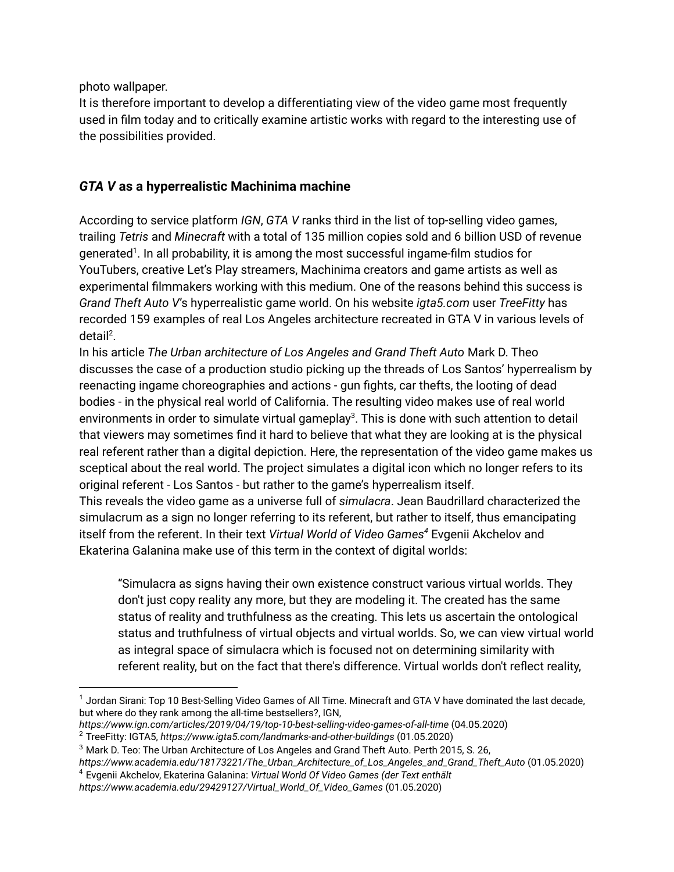photo wallpaper.

It is therefore important to develop a differentiating view of the video game most frequently used in film today and to critically examine artistic works with regard to the interesting use of the possibilities provided.

## *GTA V* **as a hyperrealistic Machinima machine**

According to service platform *IGN*, *GTA V* ranks third in the list of top-selling video games, trailing *Tetris* and *Minecraft* with a total of 135 million copies sold and 6 billion USD of revenue generated<sup>1</sup>. In all probability, it is among the most successful ingame-film studios for YouTubers, creative Let's Play streamers, Machinima creators and game artists as well as experimental filmmakers working with this medium. One of the reasons behind this success is *Grand Theft Auto V*'s hyperrealistic game world. On his website *igta5.com* user *TreeFitty* has recorded 159 examples of real Los Angeles architecture recreated in GTA V in various levels of detail<sup>2</sup>.

In his article *The Urban architecture of Los Angeles and Grand Theft Auto* Mark D. Theo discusses the case of a production studio picking up the threads of Los Santos' hyperrealism by reenacting ingame choreographies and actions - gun fights, car thefts, the looting of dead bodies - in the physical real world of California. The resulting video makes use of real world environments in order to simulate virtual gameplay<sup>3</sup>. This is done with such attention to detail that viewers may sometimes find it hard to believe that what they are looking at is the physical real referent rather than a digital depiction. Here, the representation of the video game makes us sceptical about the real world. The project simulates a digital icon which no longer refers to its original referent - Los Santos - but rather to the game's hyperrealism itself. This reveals the video game as a universe full of *simulacra*. Jean Baudrillard characterized the

simulacrum as a sign no longer referring to its referent, but rather to itself, thus emancipating itself from the referent. In their text *Virtual World of Video Games<sup>4</sup>* Evgenii Akchelov and Ekaterina Galanina make use of this term in the context of digital worlds:

"Simulacra as signs having their own existence construct various virtual worlds. They don't just copy reality any more, but they are modeling it. The created has the same status of reality and truthfulness as the creating. This lets us ascertain the ontological status and truthfulness of virtual objects and virtual worlds. So, we can view virtual world as integral space of simulacra which is focused not on determining similarity with referent reality, but on the fact that there's difference. Virtual worlds don't reflect reality,

 $1$  Jordan Sirani: Top 10 Best-Selling Video Games of All Time. Minecraft and GTA V have dominated the last decade, but where do they rank among the all-time bestsellers?, IGN,

*https://www.ign.com/articles/2019/04/19/top-10-best-selling-video-games-of-all-time* (04.05.2020)

<sup>2</sup> TreeFitty: IGTA5, *https://www.igta5.com/landmarks-and-other-buildings* (01.05.2020)

<sup>3</sup> Mark D. Teo: The Urban Architecture of Los Angeles and Grand Theft Auto. Perth 2015, S. 26,

*https://www.academia.edu/18173221/The\_Urban\_Architecture\_of\_Los\_Angeles\_and\_Grand\_Theft\_Auto* (01.05.2020)

<sup>4</sup> Evgenii Akchelov, Ekaterina Galanina: *Virtual World Of Video Games (der Text enthält https://www.academia.edu/29429127/Virtual\_World\_Of\_Video\_Games* (01.05.2020)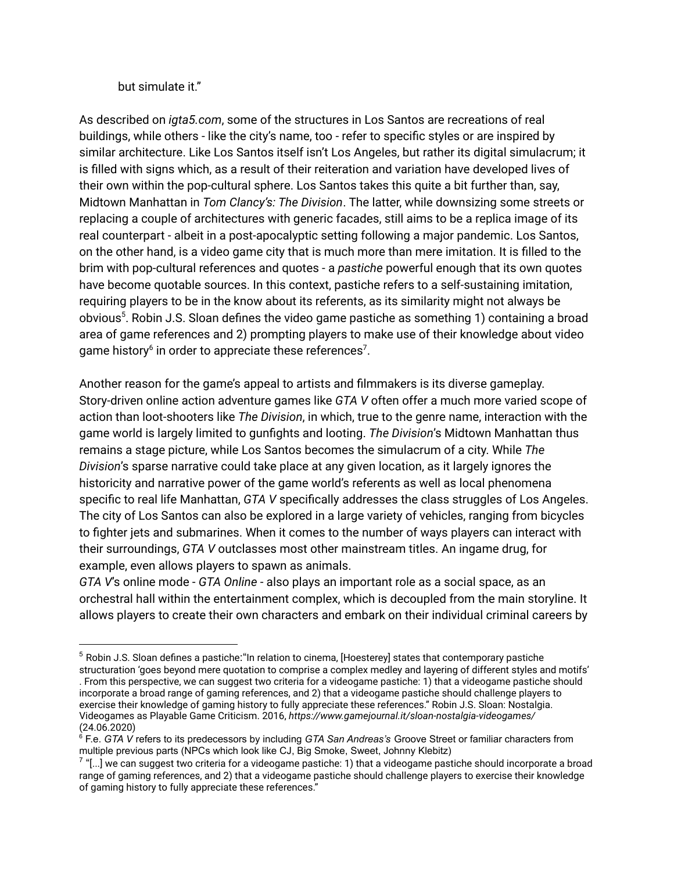but simulate it."

As described on *igta5.com*, some of the structures in Los Santos are recreations of real buildings, while others - like the city's name, too - refer to specific styles or are inspired by similar architecture. Like Los Santos itself isn't Los Angeles, but rather its digital simulacrum; it is filled with signs which, as a result of their reiteration and variation have developed lives of their own within the pop-cultural sphere. Los Santos takes this quite a bit further than, say, Midtown Manhattan in *Tom Clancy's: The Division*. The latter, while downsizing some streets or replacing a couple of architectures with generic facades, still aims to be a replica image of its real counterpart - albeit in a post-apocalyptic setting following a major pandemic. Los Santos, on the other hand, is a video game city that is much more than mere imitation. It is filled to the brim with pop-cultural references and quotes - a *pastiche* powerful enough that its own quotes have become quotable sources. In this context, pastiche refers to a self-sustaining imitation, requiring players to be in the know about its referents, as its similarity might not always be obvious<sup>5</sup>. Robin J.S. Sloan defines the video game pastiche as something 1) containing a broad area of game references and 2) prompting players to make use of their knowledge about video game history $6$  in order to appreciate these references<sup>7</sup>.

Another reason for the game's appeal to artists and filmmakers is its diverse gameplay. Story-driven online action adventure games like *GTA V* often offer a much more varied scope of action than loot-shooters like *The Division*, in which, true to the genre name, interaction with the game world is largely limited to gunfights and looting. *The Division*'s Midtown Manhattan thus remains a stage picture, while Los Santos becomes the simulacrum of a city. While *The Division*'s sparse narrative could take place at any given location, as it largely ignores the historicity and narrative power of the game world's referents as well as local phenomena specific to real life Manhattan, *GTA V* specifically addresses the class struggles of Los Angeles. The city of Los Santos can also be explored in a large variety of vehicles, ranging from bicycles to fighter jets and submarines. When it comes to the number of ways players can interact with their surroundings, *GTA V* outclasses most other mainstream titles. An ingame drug, for example, even allows players to spawn as animals.

*GTA V*'s online mode - *GTA Online* - also plays an important role as a social space, as an orchestral hall within the entertainment complex, which is decoupled from the main storyline. It allows players to create their own characters and embark on their individual criminal careers by

. From this perspective, we can suggest two criteria for a videogame pastiche: 1) that a videogame pastiche should incorporate a broad range of gaming references, and 2) that a videogame pastiche should challenge players to exercise their knowledge of gaming history to fully appreciate these references." Robin J.S. Sloan: Nostalgia. Videogames as Playable Game Criticism. 2016, *https://www.gamejournal.it/sloan-nostalgia-videogames/* (24.06.2020)

<sup>&</sup>lt;sup>5</sup> Robin J.S. Sloan defines a pastiche: "In relation to cinema, [Hoesterey] states that contemporary pastiche structuration 'goes beyond mere quotation to comprise a complex medley and layering of different styles and motifs'

<sup>&</sup>lt;sup>6</sup> F.e. *GTA V* refers to its predecessors by including *GTA San Andreas's Groove Street or familiar characters from* multiple previous parts (NPCs which look like CJ, Big Smoke, Sweet, Johnny Klebitz)

 $^7$  "[…] we can suggest two criteria for a videogame pastiche: 1) that a videogame pastiche should incorporate a broad range of gaming references, and 2) that a videogame pastiche should challenge players to exercise their knowledge of gaming history to fully appreciate these references."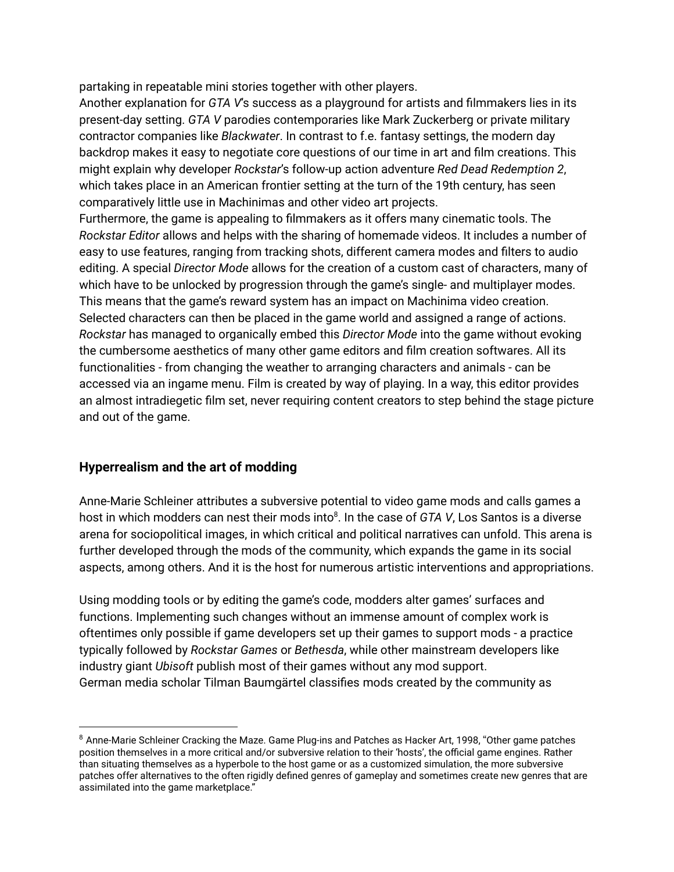partaking in repeatable mini stories together with other players.

Another explanation for *GTA V*'s success as a playground for artists and filmmakers lies in its present-day setting. *GTA V* parodies contemporaries like Mark Zuckerberg or private military contractor companies like *Blackwater*. In contrast to f.e. fantasy settings, the modern day backdrop makes it easy to negotiate core questions of our time in art and film creations. This might explain why developer *Rockstar*'s follow-up action adventure *Red Dead Redemption 2*, which takes place in an American frontier setting at the turn of the 19th century, has seen comparatively little use in Machinimas and other video art projects.

Furthermore, the game is appealing to filmmakers as it offers many cinematic tools. The *Rockstar Editor* allows and helps with the sharing of homemade videos. It includes a number of easy to use features, ranging from tracking shots, different camera modes and filters to audio editing. A special *Director Mode* allows for the creation of a custom cast of characters, many of which have to be unlocked by progression through the game's single- and multiplayer modes. This means that the game's reward system has an impact on Machinima video creation. Selected characters can then be placed in the game world and assigned a range of actions. *Rockstar* has managed to organically embed this *Director Mode* into the game without evoking the cumbersome aesthetics of many other game editors and film creation softwares. All its functionalities - from changing the weather to arranging characters and animals - can be accessed via an ingame menu. Film is created by way of playing. In a way, this editor provides an almost intradiegetic film set, never requiring content creators to step behind the stage picture and out of the game.

## **Hyperrealism and the art of modding**

Anne-Marie Schleiner attributes a subversive potential to video game mods and calls games a host in which modders can nest their mods into<sup>8</sup>. In the case of *GTA V*, Los Santos is a diverse arena for sociopolitical images, in which critical and political narratives can unfold. This arena is further developed through the mods of the community, which expands the game in its social aspects, among others. And it is the host for numerous artistic interventions and appropriations.

Using modding tools or by editing the game's code, modders alter games' surfaces and functions. Implementing such changes without an immense amount of complex work is oftentimes only possible if game developers set up their games to support mods - a practice typically followed by *Rockstar Games* or *Bethesda*, while other mainstream developers like industry giant *Ubisoft* publish most of their games without any mod support. German media scholar Tilman Baumgärtel classifies mods created by the community as

<sup>&</sup>lt;sup>8</sup> Anne-Marie Schleiner Cracking the Maze. Game Plug-ins and Patches as Hacker Art, 1998, "Other game patches position themselves in a more critical and/or subversive relation to their 'hosts', the official game engines. Rather than situating themselves as a hyperbole to the host game or as a customized simulation, the more subversive patches offer alternatives to the often rigidly defined genres of gameplay and sometimes create new genres that are assimilated into the game marketplace."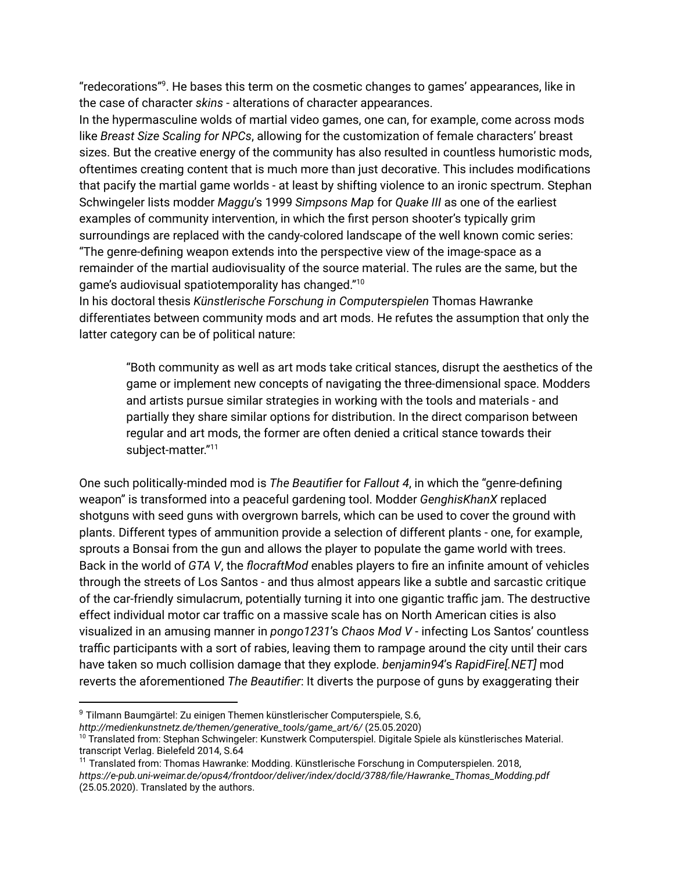"redecorations"<sup>9</sup>. He bases this term on the cosmetic changes to games' appearances, like in the case of character *skins* - alterations of character appearances.

In the hypermasculine wolds of martial video games, one can, for example, come across mods like *Breast Size Scaling for NPCs*, allowing for the customization of female characters' breast sizes. But the creative energy of the community has also resulted in countless humoristic mods, oftentimes creating content that is much more than just decorative. This includes modifications that pacify the martial game worlds - at least by shifting violence to an ironic spectrum. Stephan Schwingeler lists modder *Maggu*'s 1999 *Simpsons Map* for *Quake III* as one of the earliest examples of community intervention, in which the first person shooter's typically grim surroundings are replaced with the candy-colored landscape of the well known comic series: "The genre-defining weapon extends into the perspective view of the image-space as a remainder of the martial audiovisuality of the source material. The rules are the same, but the game's audiovisual spatiotemporality has changed." $^{\rm 10}$ 

In his doctoral thesis *Künstlerische Forschung in Computerspielen* Thomas Hawranke differentiates between community mods and art mods. He refutes the assumption that only the latter category can be of political nature:

"Both community as well as art mods take critical stances, disrupt the aesthetics of the game or implement new concepts of navigating the three-dimensional space. Modders and artists pursue similar strategies in working with the tools and materials - and partially they share similar options for distribution. In the direct comparison between regular and art mods, the former are often denied a critical stance towards their subject-matter." 11

One such politically-minded mod is *The Beautifier* for *Fallout 4*, in which the "genre-defining weapon" is transformed into a peaceful gardening tool. Modder *GenghisKhanX* replaced shotguns with seed guns with overgrown barrels, which can be used to cover the ground with plants. Different types of ammunition provide a selection of different plants - one, for example, sprouts a Bonsai from the gun and allows the player to populate the game world with trees. Back in the world of *GTA V*, the *flocraftMod* enables players to fire an infinite amount of vehicles through the streets of Los Santos - and thus almost appears like a subtle and sarcastic critique of the car-friendly simulacrum, potentially turning it into one gigantic traffic jam. The destructive effect individual motor car traffic on a massive scale has on North American cities is also visualized in an amusing manner in *pongo1231*'s *Chaos Mod V* - infecting Los Santos' countless traffic participants with a sort of rabies, leaving them to rampage around the city until their cars have taken so much collision damage that they explode. *benjamin94*'s *RapidFire[.NET]* mod reverts the aforementioned *The Beautifier*: It diverts the purpose of guns by exaggerating their

<sup>9</sup> Tilmann Baumgärtel: Zu einigen Themen künstlerischer Computerspiele, S.6,

*http://medienkunstnetz.de/themen/generative\_tools/game\_art/6/* (25.05.2020)

<sup>&</sup>lt;sup>10</sup> Translated from: Stephan Schwingeler: Kunstwerk Computerspiel. Digitale Spiele als künstlerisches Material. transcript Verlag. Bielefeld 2014, S.64

<sup>&</sup>lt;sup>11</sup> Translated from: Thomas Hawranke: Modding. Künstlerische Forschung in Computerspielen. 2018, *https://e-pub.uni-weimar.de/opus4/frontdoor/deliver/index/docId/3788/file/Hawranke\_Thomas\_Modding.pdf* (25.05.2020). Translated by the authors.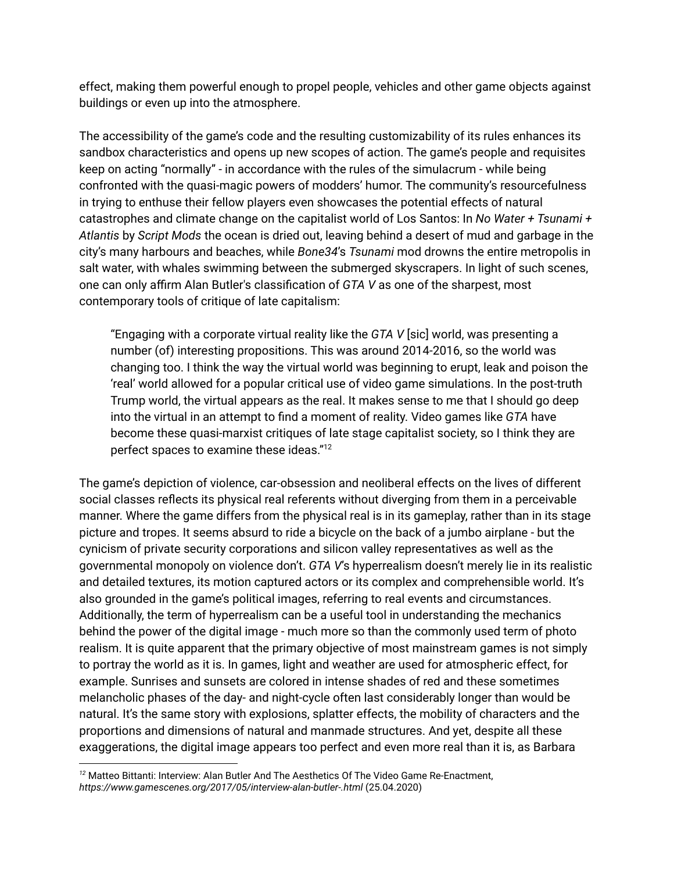effect, making them powerful enough to propel people, vehicles and other game objects against buildings or even up into the atmosphere.

The accessibility of the game's code and the resulting customizability of its rules enhances its sandbox characteristics and opens up new scopes of action. The game's people and requisites keep on acting "normally" - in accordance with the rules of the simulacrum - while being confronted with the quasi-magic powers of modders' humor. The community's resourcefulness in trying to enthuse their fellow players even showcases the potential effects of natural catastrophes and climate change on the capitalist world of Los Santos: In *No Water + Tsunami + Atlantis* by *Script Mods* the ocean is dried out, leaving behind a desert of mud and garbage in the city's many harbours and beaches, while *Bone34*'s *Tsunami* mod drowns the entire metropolis in salt water, with whales swimming between the submerged skyscrapers. In light of such scenes, one can only affirm Alan Butler's classification of *GTA V* as one of the sharpest, most contemporary tools of critique of late capitalism:

"Engaging with a corporate virtual reality like the *GTA V* [sic] world, was presenting a number (of) interesting propositions. This was around 2014-2016, so the world was changing too. I think the way the virtual world was beginning to erupt, leak and poison the 'real' world allowed for a popular critical use of video game simulations. In the post-truth Trump world, the virtual appears as the real. It makes sense to me that I should go deep into the virtual in an attempt to find a moment of reality. Video games like *GTA* have become these quasi-marxist critiques of late stage capitalist society, so I think they are perfect spaces to examine these ideas." 12

The game's depiction of violence, car-obsession and neoliberal effects on the lives of different social classes reflects its physical real referents without diverging from them in a perceivable manner. Where the game differs from the physical real is in its gameplay, rather than in its stage picture and tropes. It seems absurd to ride a bicycle on the back of a jumbo airplane - but the cynicism of private security corporations and silicon valley representatives as well as the governmental monopoly on violence don't. *GTA V*'s hyperrealism doesn't merely lie in its realistic and detailed textures, its motion captured actors or its complex and comprehensible world. It's also grounded in the game's political images, referring to real events and circumstances. Additionally, the term of hyperrealism can be a useful tool in understanding the mechanics behind the power of the digital image - much more so than the commonly used term of photo realism. It is quite apparent that the primary objective of most mainstream games is not simply to portray the world as it is. In games, light and weather are used for atmospheric effect, for example. Sunrises and sunsets are colored in intense shades of red and these sometimes melancholic phases of the day- and night-cycle often last considerably longer than would be natural. It's the same story with explosions, splatter effects, the mobility of characters and the proportions and dimensions of natural and manmade structures. And yet, despite all these exaggerations, the digital image appears too perfect and even more real than it is, as Barbara

*<sup>12</sup>* Matteo Bittanti: Interview: Alan Butler And The Aesthetics Of The Video Game Re-Enactment, *https://www.gamescenes.org/2017/05/interview-alan-butler-.html* (25.04.2020)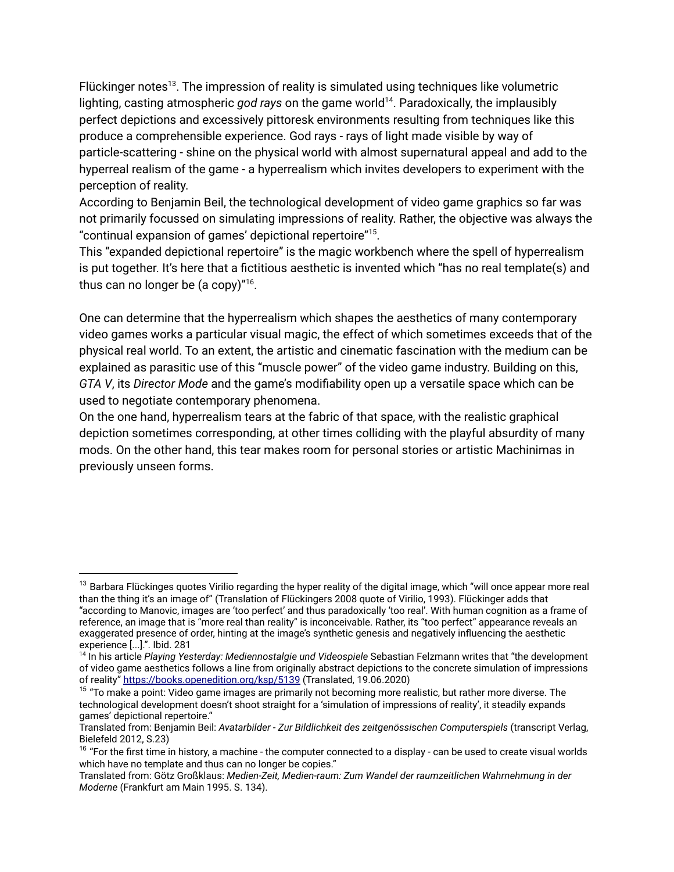Flückinger notes<sup>13</sup>. The impression of reality is simulated using techniques like volumetric lighting, casting atmospheric god rays on the game world<sup>14</sup>. Paradoxically, the implausibly perfect depictions and excessively pittoresk environments resulting from techniques like this produce a comprehensible experience. God rays - rays of light made visible by way of particle-scattering - shine on the physical world with almost supernatural appeal and add to the hyperreal realism of the game - a hyperrealism which invites developers to experiment with the perception of reality.

According to Benjamin Beil, the technological development of video game graphics so far was not primarily focussed on simulating impressions of reality. Rather, the objective was always the "continual expansion of games' depictional repertoire"<sup>15</sup>.

This "expanded depictional repertoire" is the magic workbench where the spell of hyperrealism is put together. It's here that a fictitious aesthetic is invented which "has no real template(s) and thus can no longer be  $(a copy)''^{16}$ .

One can determine that the hyperrealism which shapes the aesthetics of many contemporary video games works a particular visual magic, the effect of which sometimes exceeds that of the physical real world. To an extent, the artistic and cinematic fascination with the medium can be explained as parasitic use of this "muscle power" of the video game industry. Building on this, *GTA V*, its *Director Mode* and the game's modifiability open up a versatile space which can be used to negotiate contemporary phenomena.

On the one hand, hyperrealism tears at the fabric of that space, with the realistic graphical depiction sometimes corresponding, at other times colliding with the playful absurdity of many mods. On the other hand, this tear makes room for personal stories or artistic Machinimas in previously unseen forms.

 $13$  Barbara Flückinges quotes Virilio regarding the hyper reality of the digital image, which "will once appear more real than the thing it's an image of" (Translation of Flückingers 2008 quote of Virilio, 1993). Flückinger adds that "according to Manovic, images are 'too perfect' and thus paradoxically 'too real'. With human cognition as a frame of reference, an image that is "more real than reality" is inconceivable. Rather, its "too perfect" appearance reveals an exaggerated presence of order, hinting at the image's synthetic genesis and negatively influencing the aesthetic experience [...].". Ibid. 281

<sup>14</sup> In his article *Playing Yesterday: Mediennostalgie und Videospiele* Sebastian Felzmann writes that "the development of video game aesthetics follows a line from originally abstract depictions to the concrete simulation of impressions of reality" <https://books.openedition.org/ksp/5139> (Translated, 19.06.2020)

<sup>&</sup>lt;sup>15</sup> "To make a point: Video game images are primarily not becoming more realistic, but rather more diverse. The technological development doesn't shoot straight for a 'simulation of impressions of reality', it steadily expands games' depictional repertoire."

Translated from: Benjamin Beil: *Avatarbilder - Zur Bildlichkeit des zeitgenössischen Computerspiels* (transcript Verlag, Bielefeld 2012, S.23)

 $16$  "For the first time in history, a machine - the computer connected to a display - can be used to create visual worlds which have no template and thus can no longer be copies."

Translated from: Götz Großklaus: *Medien-Zeit, Medien-raum: Zum Wandel der raumzeitlichen Wahrnehmung in der Moderne* (Frankfurt am Main 1995. S. 134).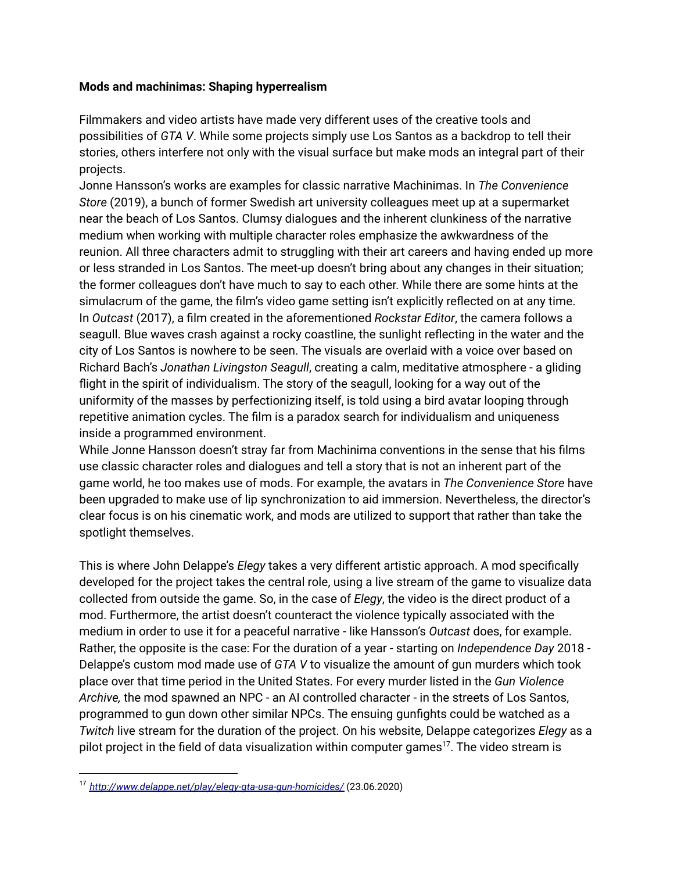#### **Mods and machinimas: Shaping hyperrealism**

Filmmakers and video artists have made very different uses of the creative tools and possibilities of *GTA V*. While some projects simply use Los Santos as a backdrop to tell their stories, others interfere not only with the visual surface but make mods an integral part of their projects.

Jonne Hansson's works are examples for classic narrative Machinimas. In *The Convenience Store* (2019), a bunch of former Swedish art university colleagues meet up at a supermarket near the beach of Los Santos. Clumsy dialogues and the inherent clunkiness of the narrative medium when working with multiple character roles emphasize the awkwardness of the reunion. All three characters admit to struggling with their art careers and having ended up more or less stranded in Los Santos. The meet-up doesn't bring about any changes in their situation; the former colleagues don't have much to say to each other. While there are some hints at the simulacrum of the game, the film's video game setting isn't explicitly reflected on at any time. In *Outcast* (2017), a film created in the aforementioned *Rockstar Editor*, the camera follows a seagull. Blue waves crash against a rocky coastline, the sunlight reflecting in the water and the city of Los Santos is nowhere to be seen. The visuals are overlaid with a voice over based on Richard Bach's *Jonathan Livingston Seagull*, creating a calm, meditative atmosphere - a gliding flight in the spirit of individualism. The story of the seagull, looking for a way out of the uniformity of the masses by perfectionizing itself, is told using a bird avatar looping through repetitive animation cycles. The film is a paradox search for individualism and uniqueness inside a programmed environment.

While Jonne Hansson doesn't stray far from Machinima conventions in the sense that his films use classic character roles and dialogues and tell a story that is not an inherent part of the game world, he too makes use of mods. For example, the avatars in *The Convenience Store* have been upgraded to make use of lip synchronization to aid immersion. Nevertheless, the director's clear focus is on his cinematic work, and mods are utilized to support that rather than take the spotlight themselves.

This is where John Delappe's *Elegy* takes a very different artistic approach. A mod specifically developed for the project takes the central role, using a live stream of the game to visualize data collected from outside the game. So, in the case of *Elegy*, the video is the direct product of a mod. Furthermore, the artist doesn't counteract the violence typically associated with the medium in order to use it for a peaceful narrative - like Hansson's *Outcast* does, for example. Rather, the opposite is the case: For the duration of a year - starting on *Independence Day* 2018 - Delappe's custom mod made use of *GTA V* to visualize the amount of gun murders which took place over that time period in the United States. For every murder listed in the *Gun Violence Archive,* the mod spawned an NPC - an AI controlled character - in the streets of Los Santos, programmed to gun down other similar NPCs. The ensuing gunfights could be watched as a *Twitch* live stream for the duration of the project. On his website, Delappe categorizes *Elegy* as a pilot project in the field of data visualization within computer games $^{17}$ . The video stream is

<sup>17</sup> *<http://www.delappe.net/play/elegy-gta-usa-gun-homicides/>* (23.06.2020)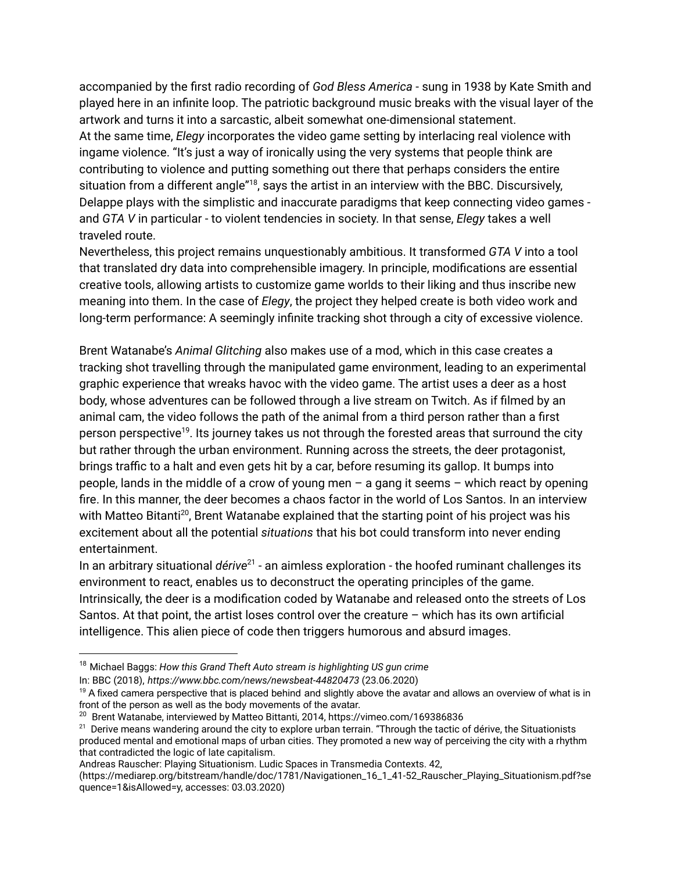accompanied by the first radio recording of *God Bless America* - sung in 1938 by Kate Smith and played here in an infinite loop. The patriotic background music breaks with the visual layer of the artwork and turns it into a sarcastic, albeit somewhat one-dimensional statement. At the same time, *Elegy* incorporates the video game setting by interlacing real violence with ingame violence. "It's just a way of ironically using the very systems that people think are contributing to violence and putting something out there that perhaps considers the entire situation from a different angle"<sup>18</sup>, says the artist in an interview with the BBC. Discursively, Delappe plays with the simplistic and inaccurate paradigms that keep connecting video games and *GTA V* in particular - to violent tendencies in society. In that sense, *Elegy* takes a well traveled route.

Nevertheless, this project remains unquestionably ambitious. It transformed *GTA V* into a tool that translated dry data into comprehensible imagery. In principle, modifications are essential creative tools, allowing artists to customize game worlds to their liking and thus inscribe new meaning into them. In the case of *Elegy*, the project they helped create is both video work and long-term performance: A seemingly infinite tracking shot through a city of excessive violence.

Brent Watanabe's *Animal Glitching* also makes use of a mod, which in this case creates a tracking shot travelling through the manipulated game environment, leading to an experimental graphic experience that wreaks havoc with the video game. The artist uses a deer as a host body, whose adventures can be followed through a live stream on Twitch. As if filmed by an animal cam, the video follows the path of the animal from a third person rather than a first person perspective<sup>19</sup>. Its journey takes us not through the forested areas that surround the city but rather through the urban environment. Running across the streets, the deer protagonist, brings traffic to a halt and even gets hit by a car, before resuming its gallop. It bumps into people, lands in the middle of a crow of young men – a gang it seems – which react by opening fire. In this manner, the deer becomes a chaos factor in the world of Los Santos. In an interview with Matteo Bitanti<sup>20</sup>, Brent Watanabe explained that the starting point of his project was his excitement about all the potential *situations* that his bot could transform into never ending entertainment.

In an arbitrary situational *dérive<sup>21</sup>* - an aimless exploration - the hoofed ruminant challenges its environment to react, enables us to deconstruct the operating principles of the game. Intrinsically, the deer is a modification coded by Watanabe and released onto the streets of Los Santos. At that point, the artist loses control over the creature – which has its own artificial intelligence. This alien piece of code then triggers humorous and absurd images.

- <sup>18</sup> Michael Baggs: *How this Grand Theft Auto stream is highlighting US gun crime*
- In: BBC (2018), *https://www.bbc.com/news/newsbeat-44820473* (23.06.2020)
- $19$  A fixed camera perspective that is placed behind and slightly above the avatar and allows an overview of what is in front of the person as well as the body movements of the avatar.

Andreas Rauscher: Playing Situationism. Ludic Spaces in Transmedia Contexts. 42,

<sup>&</sup>lt;sup>20</sup> Brent Watanabe, interviewed by Matteo Bittanti, 2014, https://vimeo.com/169386836

 $21$  Derive means wandering around the city to explore urban terrain. "Through the tactic of dérive, the Situationists produced mental and emotional maps of urban cities. They promoted a new way of perceiving the city with a rhythm that contradicted the logic of late capitalism.

<sup>(</sup>https://mediarep.org/bitstream/handle/doc/1781/Navigationen\_16\_1\_41-52\_Rauscher\_Playing\_Situationism.pdf?se quence=1&isAllowed=y, accesses: 03.03.2020)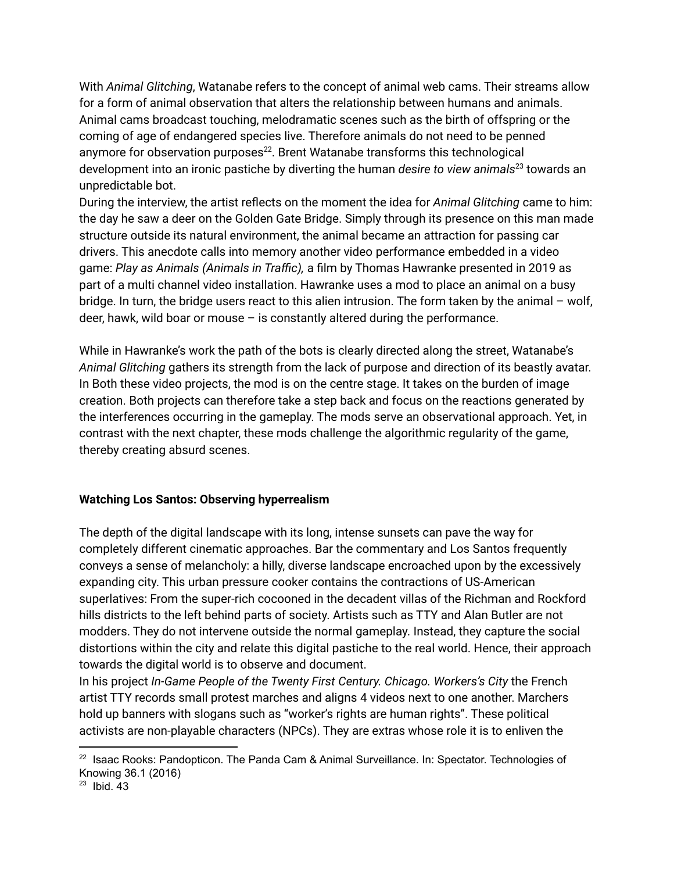With *Animal Glitching*, Watanabe refers to the concept of animal web cams. Their streams allow for a form of animal observation that alters the relationship between humans and animals. Animal cams broadcast touching, melodramatic scenes such as the birth of offspring or the coming of age of endangered species live. Therefore animals do not need to be penned anymore for observation purposes $^{22}$ . Brent Watanabe transforms this technological development into an ironic pastiche by diverting the human *desire to view animals* towards an 23 unpredictable bot.

During the interview, the artist reflects on the moment the idea for *Animal Glitching* came to him: the day he saw a deer on the Golden Gate Bridge. Simply through its presence on this man made structure outside its natural environment, the animal became an attraction for passing car drivers. This anecdote calls into memory another video performance embedded in a video game: *Play as Animals (Animals in Traffic),* a film by Thomas Hawranke presented in 2019 as part of a multi channel video installation. Hawranke uses a mod to place an animal on a busy bridge. In turn, the bridge users react to this alien intrusion. The form taken by the animal – wolf, deer, hawk, wild boar or mouse – is constantly altered during the performance.

While in Hawranke's work the path of the bots is clearly directed along the street, Watanabe's *Animal Glitching* gathers its strength from the lack of purpose and direction of its beastly avatar. In Both these video projects, the mod is on the centre stage. It takes on the burden of image creation. Both projects can therefore take a step back and focus on the reactions generated by the interferences occurring in the gameplay. The mods serve an observational approach. Yet, in contrast with the next chapter, these mods challenge the algorithmic regularity of the game, thereby creating absurd scenes.

### **Watching Los Santos: Observing hyperrealism**

The depth of the digital landscape with its long, intense sunsets can pave the way for completely different cinematic approaches. Bar the commentary and Los Santos frequently conveys a sense of melancholy: a hilly, diverse landscape encroached upon by the excessively expanding city. This urban pressure cooker contains the contractions of US-American superlatives: From the super-rich cocooned in the decadent villas of the Richman and Rockford hills districts to the left behind parts of society. Artists such as TTY and Alan Butler are not modders. They do not intervene outside the normal gameplay. Instead, they capture the social distortions within the city and relate this digital pastiche to the real world. Hence, their approach towards the digital world is to observe and document.

In his project *In-Game People of the Twenty First Century. Chicago. Workers's City* the French artist TTY records small protest marches and aligns 4 videos next to one another. Marchers hold up banners with slogans such as "worker's rights are human rights". These political activists are non-playable characters (NPCs). They are extras whose role it is to enliven the

 $22$  Isaac Rooks: Pandopticon. The Panda Cam & Animal Surveillance. In: Spectator. Technologies of Knowing 36.1 (2016)

 $23$  Ibid. 43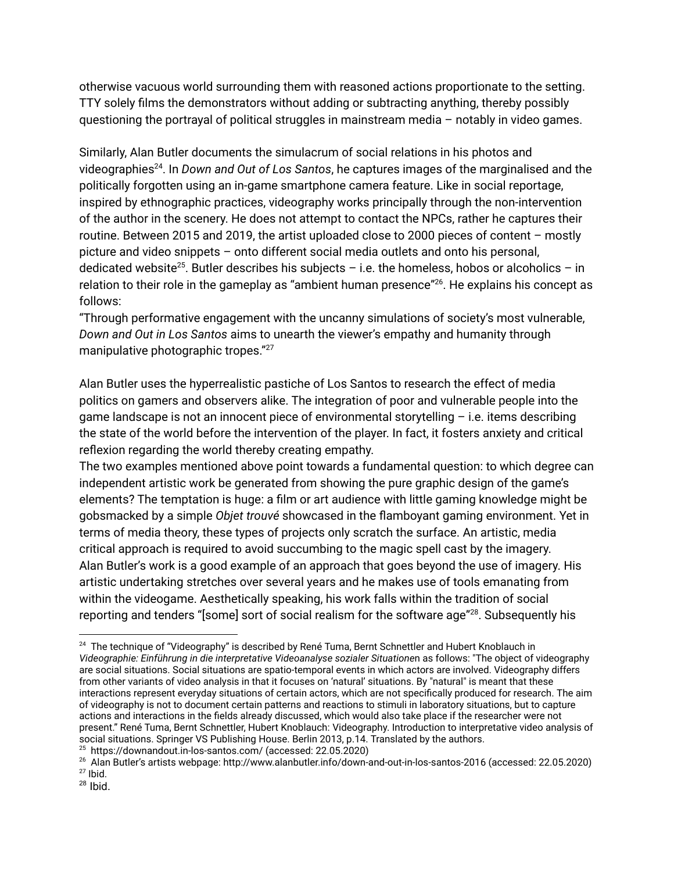otherwise vacuous world surrounding them with reasoned actions proportionate to the setting. TTY solely films the demonstrators without adding or subtracting anything, thereby possibly questioning the portrayal of political struggles in mainstream media – notably in video games.

Similarly, Alan Butler documents the simulacrum of social relations in his photos and videographies<sup>24</sup>. In *Down and Out of Los Santos*, he captures images of the marginalised and the politically forgotten using an in-game smartphone camera feature. Like in social reportage, inspired by ethnographic practices, videography works principally through the non-intervention of the author in the scenery. He does not attempt to contact the NPCs, rather he captures their routine. Between 2015 and 2019, the artist uploaded close to 2000 pieces of content – mostly picture and video snippets – onto different social media outlets and onto his personal, dedicated website<sup>25</sup>. Butler describes his subjects - i.e. the homeless, hobos or alcoholics - in relation to their role in the gameplay as "ambient human presence"<sup>26</sup>. He explains his concept as follows:

"Through performative engagement with the uncanny simulations of society's most vulnerable, *Down and Out in Los Santos* aims to unearth the viewer's empathy and humanity through manipulative photographic tropes." 27

Alan Butler uses the hyperrealistic pastiche of Los Santos to research the effect of media politics on gamers and observers alike. The integration of poor and vulnerable people into the game landscape is not an innocent piece of environmental storytelling – i.e. items describing the state of the world before the intervention of the player. In fact, it fosters anxiety and critical reflexion regarding the world thereby creating empathy.

The two examples mentioned above point towards a fundamental question: to which degree can independent artistic work be generated from showing the pure graphic design of the game's elements? The temptation is huge: a film or art audience with little gaming knowledge might be gobsmacked by a simple *Objet trouvé* showcased in the flamboyant gaming environment. Yet in terms of media theory, these types of projects only scratch the surface. An artistic, media critical approach is required to avoid succumbing to the magic spell cast by the imagery. Alan Butler's work is a good example of an approach that goes beyond the use of imagery. His artistic undertaking stretches over several years and he makes use of tools emanating from within the videogame. Aesthetically speaking, his work falls within the tradition of social reporting and tenders "[some] sort of social realism for the software age" $^{28}$ . Subsequently his

<sup>25</sup> https://downandout.in-los-santos.com/ (accessed: 22.05.2020)

<sup>&</sup>lt;sup>24</sup> The technique of "Videography" is described by René Tuma, Bernt Schnettler and Hubert Knoblauch in *Videographie: Einführung in die interpretative Videoanalyse sozialer Situatione*n as follows: "The object of videography are social situations. Social situations are spatio-temporal events in which actors are involved. Videography differs from other variants of video analysis in that it focuses on 'natural' situations. By "natural" is meant that these interactions represent everyday situations of certain actors, which are not specifically produced for research. The aim of videography is not to document certain patterns and reactions to stimuli in laboratory situations, but to capture actions and interactions in the fields already discussed, which would also take place if the researcher were not present." René Tuma, Bernt Schnettler, Hubert Knoblauch: Videography. Introduction to interpretative video analysis of social situations. Springer VS Publishing House. Berlin 2013, p.14. Translated by the authors.

 $27$  Ibid. <sup>26</sup> Alan Butler's artists webpage: http://www.alanbutler.info/down-and-out-in-los-santos-2016 (accessed: 22.05.2020)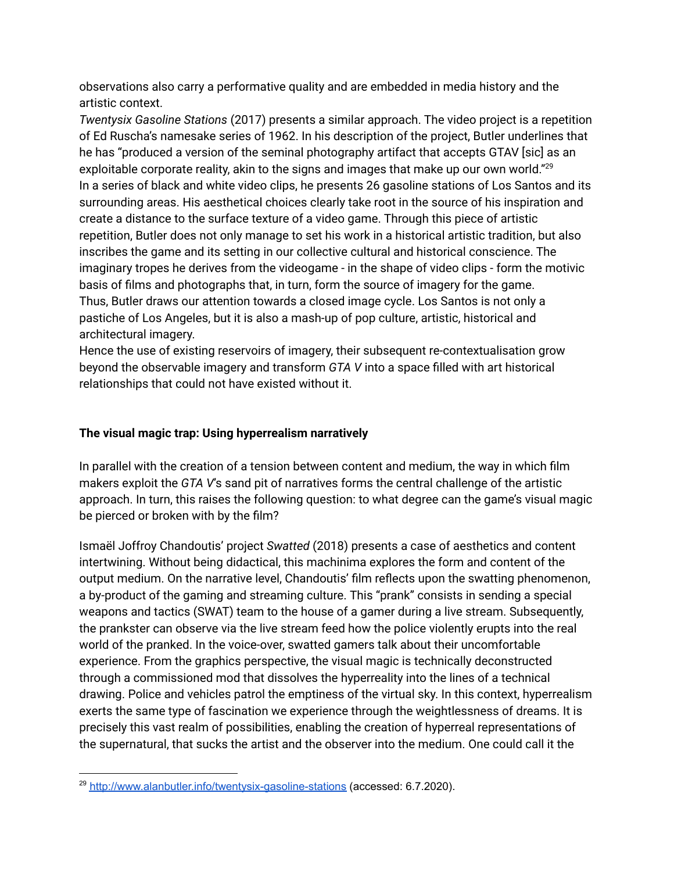observations also carry a performative quality and are embedded in media history and the artistic context.

*Twentysix Gasoline Stations* (2017) presents a similar approach. The video project is a repetition of Ed Ruscha's namesake series of 1962. In his description of the project, Butler underlines that he has "produced a version of the seminal photography artifact that accepts GTAV [sic] as an exploitable corporate reality, akin to the signs and images that make up our own world."<sup>29</sup> In a series of black and white video clips, he presents 26 gasoline stations of Los Santos and its surrounding areas. His aesthetical choices clearly take root in the source of his inspiration and create a distance to the surface texture of a video game. Through this piece of artistic repetition, Butler does not only manage to set his work in a historical artistic tradition, but also inscribes the game and its setting in our collective cultural and historical conscience. The imaginary tropes he derives from the videogame - in the shape of video clips - form the motivic basis of films and photographs that, in turn, form the source of imagery for the game. Thus, Butler draws our attention towards a closed image cycle. Los Santos is not only a pastiche of Los Angeles, but it is also a mash-up of pop culture, artistic, historical and architectural imagery.

Hence the use of existing reservoirs of imagery, their subsequent re-contextualisation grow beyond the observable imagery and transform *GTA V* into a space filled with art historical relationships that could not have existed without it.

#### **The visual magic trap: Using hyperrealism narratively**

In parallel with the creation of a tension between content and medium, the way in which film makers exploit the *GTA V*'s sand pit of narratives forms the central challenge of the artistic approach. In turn, this raises the following question: to what degree can the game's visual magic be pierced or broken with by the film?

Ismaël Joffroy Chandoutis' project *Swatted* (2018) presents a case of aesthetics and content intertwining. Without being didactical, this machinima explores the form and content of the output medium. On the narrative level, Chandoutis' film reflects upon the swatting phenomenon, a by-product of the gaming and streaming culture. This "prank" consists in sending a special weapons and tactics (SWAT) team to the house of a gamer during a live stream. Subsequently, the prankster can observe via the live stream feed how the police violently erupts into the real world of the pranked. In the voice-over, swatted gamers talk about their uncomfortable experience. From the graphics perspective, the visual magic is technically deconstructed through a commissioned mod that dissolves the hyperreality into the lines of a technical drawing. Police and vehicles patrol the emptiness of the virtual sky. In this context, hyperrealism exerts the same type of fascination we experience through the weightlessness of dreams. It is precisely this vast realm of possibilities, enabling the creation of hyperreal representations of the supernatural, that sucks the artist and the observer into the medium. One could call it the

<sup>&</sup>lt;sup>29</sup> <http://www.alanbutler.info/twentysix-gasoline-stations> (accessed: 6.7.2020).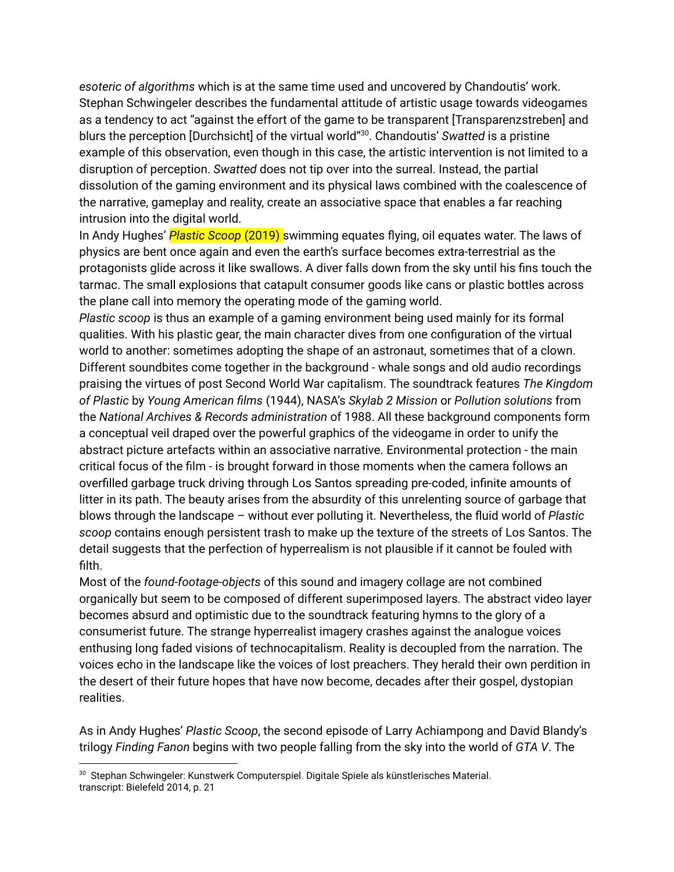*esoteric of algorithms* which is at the same time used and uncovered by Chandoutis' work. Stephan Schwingeler describes the fundamental attitude of artistic usage towards videogames as a tendency to act "against the effort of the game to be transparent [Transparenzstreben] and blurs the perception [Durchsicht] of the virtual world"<sup>30</sup>. Chandoutis' Swatted is a pristine example of this observation, even though in this case, the artistic intervention is not limited to a disruption of perception. *Swatted* does not tip over into the surreal. Instead, the partial dissolution of the gaming environment and its physical laws combined with the coalescence of the narrative, gameplay and reality, create an associative space that enables a far reaching intrusion into the digital world.

In Andy Hughes' *Plastic Scoop* (2019) swimming equates flying, oil equates water. The laws of physics are bent once again and even the earth's surface becomes extra-terrestrial as the protagonists glide across it like swallows. A diver falls down from the sky until his fins touch the tarmac. The small explosions that catapult consumer goods like cans or plastic bottles across the plane call into memory the operating mode of the gaming world.

*Plastic scoop* is thus an example of a gaming environment being used mainly for its formal qualities. With his plastic gear, the main character dives from one configuration of the virtual world to another: sometimes adopting the shape of an astronaut, sometimes that of a clown. Different soundbites come together in the background - whale songs and old audio recordings praising the virtues of post Second World War capitalism. The soundtrack features *The Kingdom of Plastic* by *Young American films* (1944), NASA's *Skylab 2 Mission* or *Pollution solutions* from the *National Archives & Records administration* of 1988. All these background components form a conceptual veil draped over the powerful graphics of the videogame in order to unify the abstract picture artefacts within an associative narrative. Environmental protection - the main critical focus of the film - is brought forward in those moments when the camera follows an overfilled garbage truck driving through Los Santos spreading pre-coded, infinite amounts of litter in its path. The beauty arises from the absurdity of this unrelenting source of garbage that blows through the landscape – without ever polluting it. Nevertheless, the fluid world of *Plastic scoop* contains enough persistent trash to make up the texture of the streets of Los Santos. The detail suggests that the perfection of hyperrealism is not plausible if it cannot be fouled with filth.

Most of the *found-footage-objects* of this sound and imagery collage are not combined organically but seem to be composed of different superimposed layers. The abstract video layer becomes absurd and optimistic due to the soundtrack featuring hymns to the glory of a consumerist future. The strange hyperrealist imagery crashes against the analogue voices enthusing long faded visions of technocapitalism. Reality is decoupled from the narration. The voices echo in the landscape like the voices of lost preachers. They herald their own perdition in the desert of their future hopes that have now become, decades after their gospel, dystopian realities.

As in Andy Hughes' *Plastic Scoop*, the second episode of Larry Achiampong and David Blandy's trilogy *Finding Fanon* begins with two people falling from the sky into the world of *GTA V*. The

<sup>30</sup> Stephan Schwingeler: Kunstwerk Computerspiel. Digitale Spiele als künstlerisches Material. transcript: Bielefeld 2014, p. 21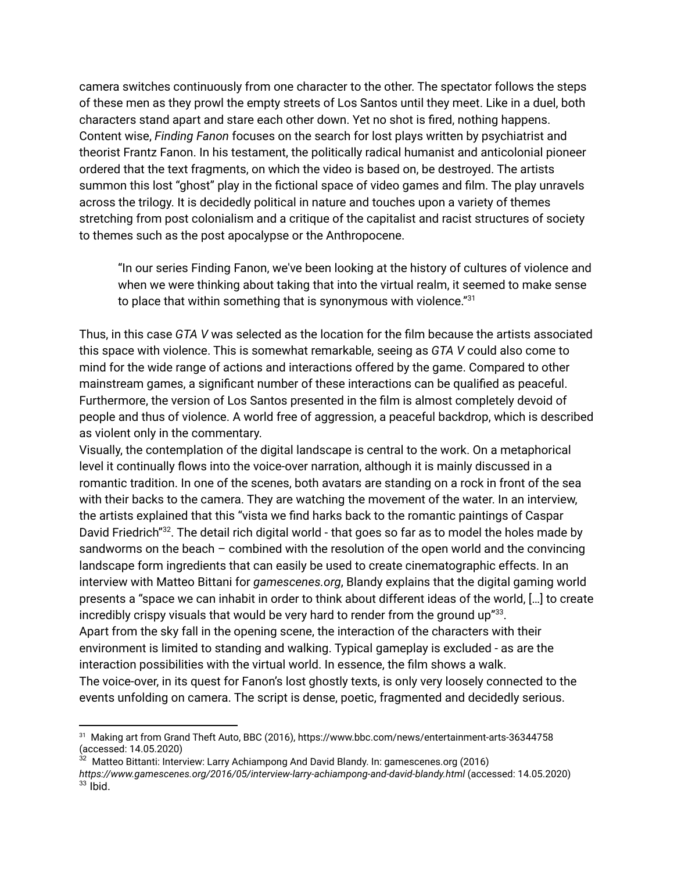camera switches continuously from one character to the other. The spectator follows the steps of these men as they prowl the empty streets of Los Santos until they meet. Like in a duel, both characters stand apart and stare each other down. Yet no shot is fired, nothing happens. Content wise, *Finding Fanon* focuses on the search for lost plays written by psychiatrist and theorist Frantz Fanon. In his testament, the politically radical humanist and anticolonial pioneer ordered that the text fragments, on which the video is based on, be destroyed. The artists summon this lost "ghost" play in the fictional space of video games and film. The play unravels across the trilogy. It is decidedly political in nature and touches upon a variety of themes stretching from post colonialism and a critique of the capitalist and racist structures of society to themes such as the post apocalypse or the Anthropocene.

"In our series Finding Fanon, we've been looking at the history of cultures of violence and when we were thinking about taking that into the virtual realm, it seemed to make sense to place that within something that is synonymous with violence." $^{31}$ 

Thus, in this case *GTA V* was selected as the location for the film because the artists associated this space with violence. This is somewhat remarkable, seeing as *GTA V* could also come to mind for the wide range of actions and interactions offered by the game. Compared to other mainstream games, a significant number of these interactions can be qualified as peaceful. Furthermore, the version of Los Santos presented in the film is almost completely devoid of people and thus of violence. A world free of aggression, a peaceful backdrop, which is described as violent only in the commentary.

Visually, the contemplation of the digital landscape is central to the work. On a metaphorical level it continually flows into the voice-over narration, although it is mainly discussed in a romantic tradition. In one of the scenes, both avatars are standing on a rock in front of the sea with their backs to the camera. They are watching the movement of the water. In an interview, the artists explained that this "vista we find harks back to the romantic paintings of Caspar David Friedrich"<sup>32</sup>. The detail rich digital world - that goes so far as to model the holes made by sandworms on the beach – combined with the resolution of the open world and the convincing landscape form ingredients that can easily be used to create cinematographic effects. In an interview with Matteo Bittani for *gamescenes.org*, Blandy explains that the digital gaming world presents a "space we can inhabit in order to think about different ideas of the world, […] to create incredibly crispy visuals that would be very hard to render from the ground up" $^{33}$ . Apart from the sky fall in the opening scene, the interaction of the characters with their environment is limited to standing and walking. Typical gameplay is excluded - as are the interaction possibilities with the virtual world. In essence, the film shows a walk. The voice-over, in its quest for Fanon's lost ghostly texts, is only very loosely connected to the events unfolding on camera. The script is dense, poetic, fragmented and decidedly serious.

<sup>31</sup> Making art from Grand Theft Auto, BBC (2016), https://www.bbc.com/news/entertainment-arts-36344758 (accessed: 14.05.2020)

 $33$  Ibid.  $32$  Matteo Bittanti: Interview: Larry Achiampong And David Blandy. In: gamescenes.org (2016) *https://www.gamescenes.org/2016/05/interview-larry-achiampong-and-david-blandy.html* (accessed: 14.05.2020)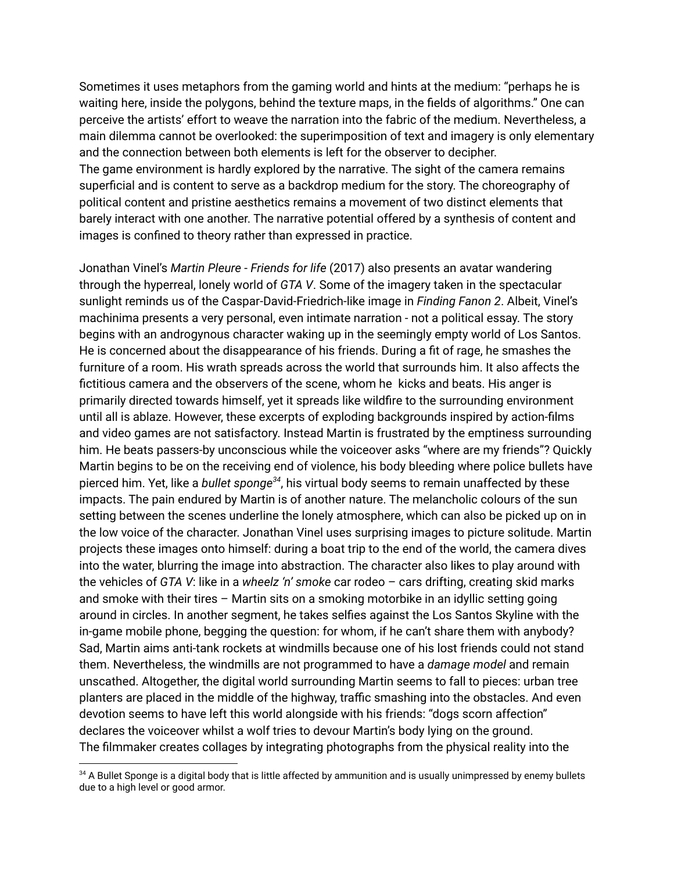Sometimes it uses metaphors from the gaming world and hints at the medium: "perhaps he is waiting here, inside the polygons, behind the texture maps, in the fields of algorithms." One can perceive the artists' effort to weave the narration into the fabric of the medium. Nevertheless, a main dilemma cannot be overlooked: the superimposition of text and imagery is only elementary and the connection between both elements is left for the observer to decipher. The game environment is hardly explored by the narrative. The sight of the camera remains superficial and is content to serve as a backdrop medium for the story. The choreography of political content and pristine aesthetics remains a movement of two distinct elements that barely interact with one another. The narrative potential offered by a synthesis of content and images is confined to theory rather than expressed in practice.

Jonathan Vinel's *Martin Pleure* - *Friends for life* (2017) also presents an avatar wandering through the hyperreal, lonely world of *GTA V*. Some of the imagery taken in the spectacular sunlight reminds us of the Caspar-David-Friedrich-like image in *Finding Fanon 2*. Albeit, Vinel's machinima presents a very personal, even intimate narration - not a political essay. The story begins with an androgynous character waking up in the seemingly empty world of Los Santos. He is concerned about the disappearance of his friends. During a fit of rage, he smashes the furniture of a room. His wrath spreads across the world that surrounds him. It also affects the fictitious camera and the observers of the scene, whom he kicks and beats. His anger is primarily directed towards himself, yet it spreads like wildfire to the surrounding environment until all is ablaze. However, these excerpts of exploding backgrounds inspired by action-films and video games are not satisfactory. Instead Martin is frustrated by the emptiness surrounding him. He beats passers-by unconscious while the voiceover asks "where are my friends"? Quickly Martin begins to be on the receiving end of violence, his body bleeding where police bullets have pierced him. Yet, like a *bullet sponge<sup>34</sup>*, his virtual body seems to remain unaffected by these impacts. The pain endured by Martin is of another nature. The melancholic colours of the sun setting between the scenes underline the lonely atmosphere, which can also be picked up on in the low voice of the character. Jonathan Vinel uses surprising images to picture solitude. Martin projects these images onto himself: during a boat trip to the end of the world, the camera dives into the water, blurring the image into abstraction. The character also likes to play around with the vehicles of *GTA V*: like in a *wheelz 'n' smoke* car rodeo – cars drifting, creating skid marks and smoke with their tires – Martin sits on a smoking motorbike in an idyllic setting going around in circles. In another segment, he takes selfies against the Los Santos Skyline with the in-game mobile phone, begging the question: for whom, if he can't share them with anybody? Sad, Martin aims anti-tank rockets at windmills because one of his lost friends could not stand them. Nevertheless, the windmills are not programmed to have a *damage model* and remain unscathed. Altogether, the digital world surrounding Martin seems to fall to pieces: urban tree planters are placed in the middle of the highway, traffic smashing into the obstacles. And even devotion seems to have left this world alongside with his friends: "dogs scorn affection" declares the voiceover whilst a wolf tries to devour Martin's body lying on the ground. The filmmaker creates collages by integrating photographs from the physical reality into the

<sup>34</sup> A Bullet Sponge is a digital body that is little affected by ammunition and is usually unimpressed by enemy bullets due to a high level or good armor.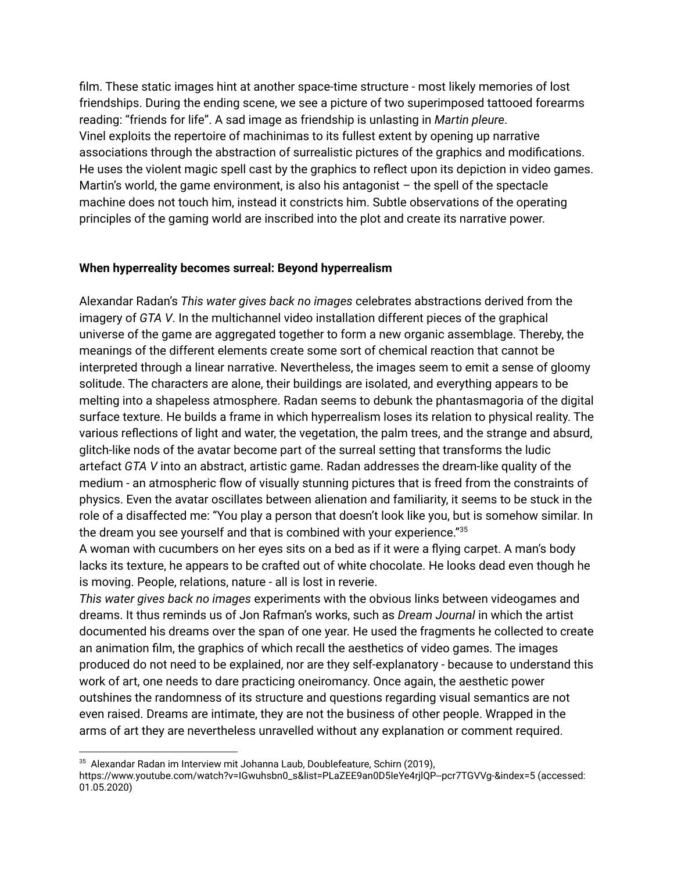film. These static images hint at another space-time structure - most likely memories of lost friendships. During the ending scene, we see a picture of two superimposed tattooed forearms reading: "friends for life". A sad image as friendship is unlasting in *Martin pleure*. Vinel exploits the repertoire of machinimas to its fullest extent by opening up narrative associations through the abstraction of surrealistic pictures of the graphics and modifications. He uses the violent magic spell cast by the graphics to reflect upon its depiction in video games. Martin's world, the game environment, is also his antagonist  $-$  the spell of the spectacle machine does not touch him, instead it constricts him. Subtle observations of the operating principles of the gaming world are inscribed into the plot and create its narrative power.

#### **When hyperreality becomes surreal: Beyond hyperrealism**

Alexandar Radan's *This water gives back no images* celebrates abstractions derived from the imagery of *GTA V*. In the multichannel video installation different pieces of the graphical universe of the game are aggregated together to form a new organic assemblage. Thereby, the meanings of the different elements create some sort of chemical reaction that cannot be interpreted through a linear narrative. Nevertheless, the images seem to emit a sense of gloomy solitude. The characters are alone, their buildings are isolated, and everything appears to be melting into a shapeless atmosphere. Radan seems to debunk the phantasmagoria of the digital surface texture. He builds a frame in which hyperrealism loses its relation to physical reality. The various reflections of light and water, the vegetation, the palm trees, and the strange and absurd, glitch-like nods of the avatar become part of the surreal setting that transforms the ludic artefact *GTA V* into an abstract, artistic game. Radan addresses the dream-like quality of the medium - an atmospheric flow of visually stunning pictures that is freed from the constraints of physics. Even the avatar oscillates between alienation and familiarity, it seems to be stuck in the role of a disaffected me: "You play a person that doesn't look like you, but is somehow similar. In the dream you see yourself and that is combined with your experience." 35

A woman with cucumbers on her eyes sits on a bed as if it were a flying carpet. A man's body lacks its texture, he appears to be crafted out of white chocolate. He looks dead even though he is moving. People, relations, nature - all is lost in reverie.

*This water gives back no images* experiments with the obvious links between videogames and dreams. It thus reminds us of Jon Rafman's works, such as *Dream Journal* in which the artist documented his dreams over the span of one year. He used the fragments he collected to create an animation film, the graphics of which recall the aesthetics of video games. The images produced do not need to be explained, nor are they self-explanatory - because to understand this work of art, one needs to dare practicing oneiromancy. Once again, the aesthetic power outshines the randomness of its structure and questions regarding visual semantics are not even raised. Dreams are intimate, they are not the business of other people. Wrapped in the arms of art they are nevertheless unravelled without any explanation or comment required.

<sup>&</sup>lt;sup>35</sup> Alexandar Radan im Interview mit Johanna Laub, Doublefeature, Schirn (2019), https://www.youtube.com/watch?v=IGwuhsbn0\_s&list=PLaZEE9an0D5IeYe4rjlQP--pcr7TGVVg-&index=5 (accessed: 01.05.2020)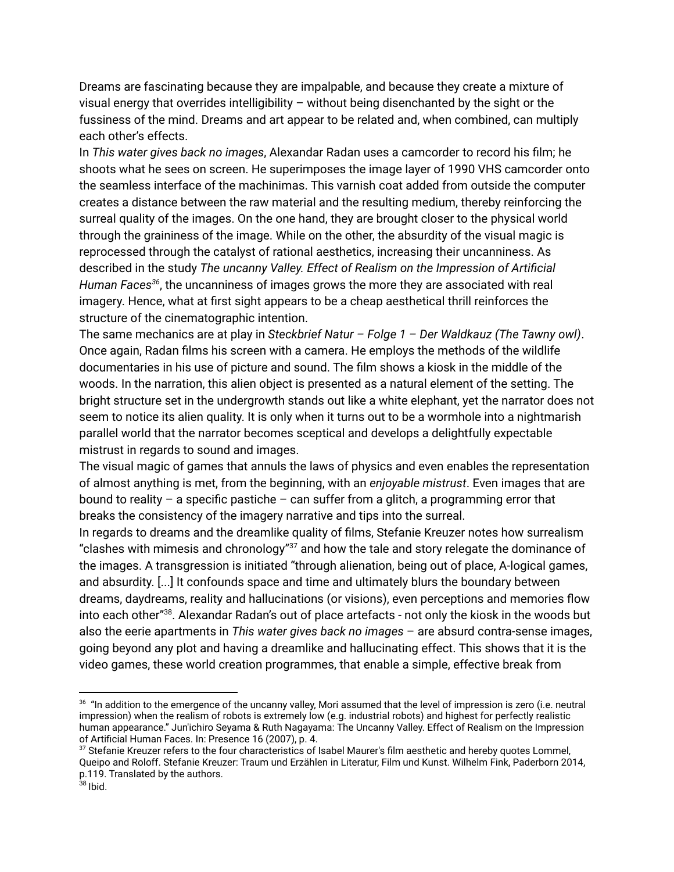Dreams are fascinating because they are impalpable, and because they create a mixture of visual energy that overrides intelligibility – without being disenchanted by the sight or the fussiness of the mind. Dreams and art appear to be related and, when combined, can multiply each other's effects.

In *This water gives back no images*, Alexandar Radan uses a camcorder to record his film; he shoots what he sees on screen. He superimposes the image layer of 1990 VHS camcorder onto the seamless interface of the machinimas. This varnish coat added from outside the computer creates a distance between the raw material and the resulting medium, thereby reinforcing the surreal quality of the images. On the one hand, they are brought closer to the physical world through the graininess of the image. While on the other, the absurdity of the visual magic is reprocessed through the catalyst of rational aesthetics, increasing their uncanniness. As described in the study *The uncanny Valley. Effect of Realism on the Impression of Artificial* Human Faces<sup>36</sup>, the uncanniness of images grows the more they are associated with real imagery. Hence, what at first sight appears to be a cheap aesthetical thrill reinforces the structure of the cinematographic intention.

The same mechanics are at play in *Steckbrief Natur – Folge 1 – Der Waldkauz (The Tawny owl)*. Once again, Radan films his screen with a camera. He employs the methods of the wildlife documentaries in his use of picture and sound. The film shows a kiosk in the middle of the woods. In the narration, this alien object is presented as a natural element of the setting. The bright structure set in the undergrowth stands out like a white elephant, yet the narrator does not seem to notice its alien quality. It is only when it turns out to be a wormhole into a nightmarish parallel world that the narrator becomes sceptical and develops a delightfully expectable mistrust in regards to sound and images.

The visual magic of games that annuls the laws of physics and even enables the representation of almost anything is met, from the beginning, with an *enjoyable mistrust*. Even images that are bound to reality – a specific pastiche – can suffer from a glitch, a programming error that breaks the consistency of the imagery narrative and tips into the surreal.

In regards to dreams and the dreamlike quality of films, Stefanie Kreuzer notes how surrealism "clashes with mimesis and chronology" $37$  and how the tale and story relegate the dominance of the images. A transgression is initiated "through alienation, being out of place, A-logical games, and absurdity. [...] It confounds space and time and ultimately blurs the boundary between dreams, daydreams, reality and hallucinations (or visions), even perceptions and memories flow into each other"<sup>38</sup>. Alexandar Radan's out of place artefacts - not only the kiosk in the woods but also the eerie apartments in *This water gives back no images* – are absurd contra-sense images, going beyond any plot and having a dreamlike and hallucinating effect. This shows that it is the video games, these world creation programmes, that enable a simple, effective break from

 $^{36}$  "In addition to the emergence of the uncanny valley, Mori assumed that the level of impression is zero (i.e. neutral impression) when the realism of robots is extremely low (e.g. industrial robots) and highest for perfectly realistic human appearance." Jun'ichiro Seyama & Ruth Nagayama: The Uncanny Valley. Effect of Realism on the Impression of Artificial Human Faces. In: Presence 16 (2007), p. 4.

<sup>&</sup>lt;sup>37</sup> Stefanie Kreuzer refers to the four characteristics of Isabel Maurer's film aesthetic and hereby quotes Lommel, Queipo and Roloff. Stefanie Kreuzer: Traum und Erzählen in Literatur, Film und Kunst. Wilhelm Fink, Paderborn 2014, p.119. Translated by the authors.